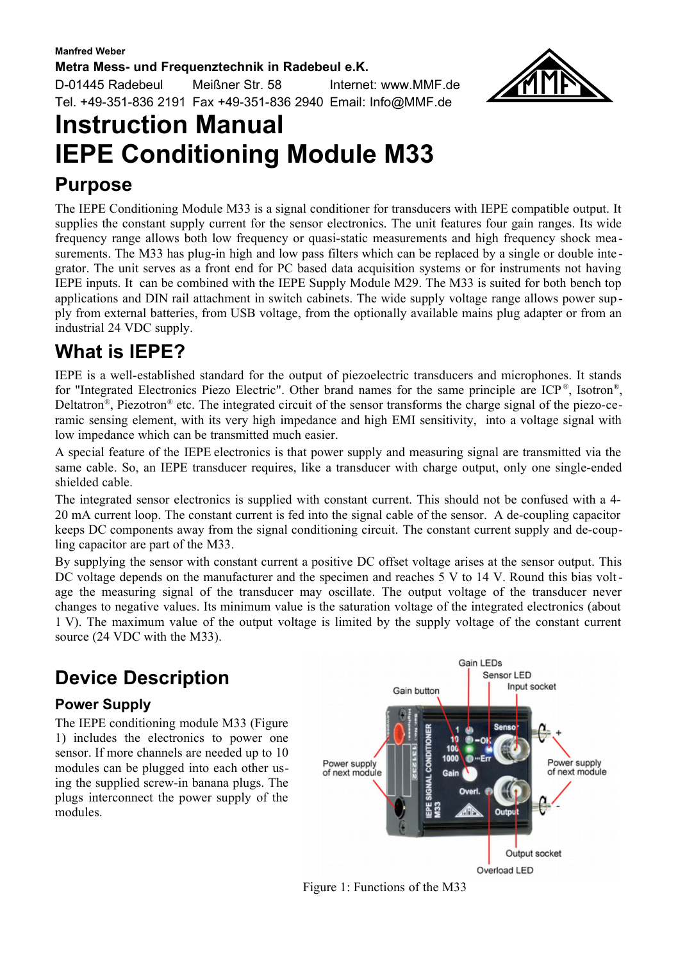#### **Metra Mess- und Frequenztechnik in Radebeul e.K.**

D-01445 Radebeul Meißner Str. 58 Internet: www.MMF.de Tel. +49-351-836 2191 Fax +49-351-836 2940 Email: Info@MMF.de



# **Instruction Manual IEPE Conditioning Module M33**

### **Purpose**

The IEPE Conditioning Module M33 is a signal conditioner for transducers with IEPE compatible output. It supplies the constant supply current for the sensor electronics. The unit features four gain ranges. Its wide frequency range allows both low frequency or quasi-static measurements and high frequency shock mea surements. The M33 has plug-in high and low pass filters which can be replaced by a single or double integrator. The unit serves as a front end for PC based data acquisition systems or for instruments not having IEPE inputs. It can be combined with the IEPE Supply Module M29. The M33 is suited for both bench top applications and DIN rail attachment in switch cabinets. The wide supply voltage range allows power sup ply from external batteries, from USB voltage, from the optionally available mains plug adapter or from an industrial 24 VDC supply.

# **What is IEPE?**

IEPE is a well-established standard for the output of piezoelectric transducers and microphones. It stands for "Integrated Electronics Piezo Electric". Other brand names for the same principle are  $ICP^*$ , Isotron<sup>®</sup>, Deltatron®, Piezotron® etc. The integrated circuit of the sensor transforms the charge signal of the piezo-ceramic sensing element, with its very high impedance and high EMI sensitivity, into a voltage signal with low impedance which can be transmitted much easier.

A special feature of the IEPE electronics is that power supply and measuring signal are transmitted via the same cable. So, an IEPE transducer requires, like a transducer with charge output, only one single-ended shielded cable.

The integrated sensor electronics is supplied with constant current. This should not be confused with a 4- 20 mA current loop. The constant current is fed into the signal cable of the sensor. A de-coupling capacitor keeps DC components away from the signal conditioning circuit. The constant current supply and de-coupling capacitor are part of the M33.

By supplying the sensor with constant current a positive DC offset voltage arises at the sensor output. This DC voltage depends on the manufacturer and the specimen and reaches 5 V to 14 V. Round this bias voltage the measuring signal of the transducer may oscillate. The output voltage of the transducer never changes to negative values. Its minimum value is the saturation voltage of the integrated electronics (about 1 V). The maximum value of the output voltage is limited by the supply voltage of the constant current source (24 VDC with the M33).

# **Device Description**

#### **Power Supply**

The IEPE conditioning module M33 (Figure [1\)](#page-0-0) includes the electronics to power one sensor. If more channels are needed up to 10 modules can be plugged into each other using the supplied screw-in banana plugs. The plugs interconnect the power supply of the modules.



<span id="page-0-0"></span>Figure 1: Functions of the M33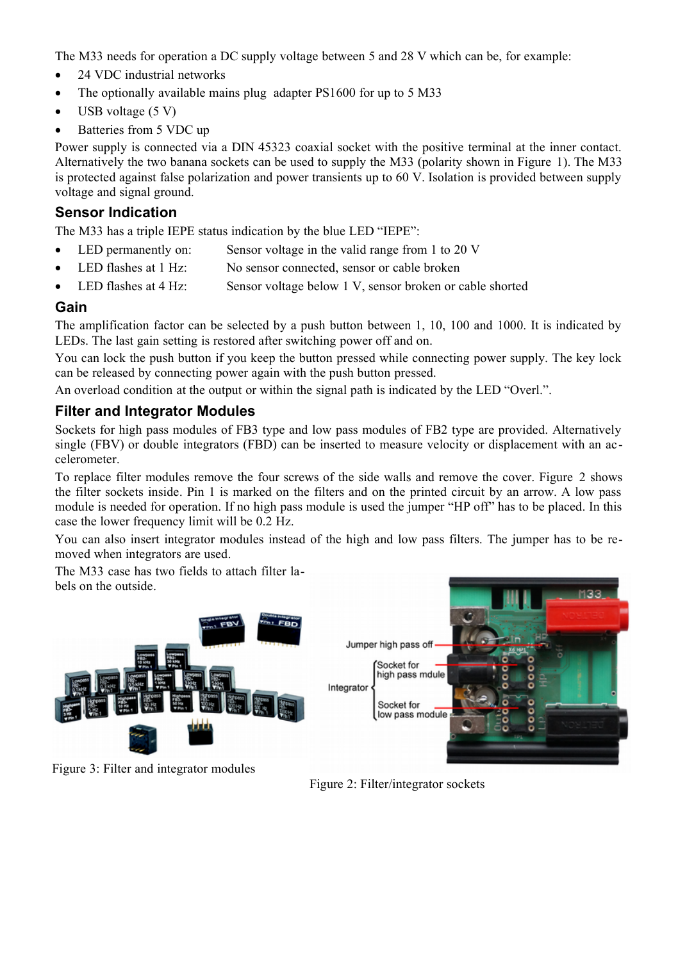The M33 needs for operation a DC supply voltage between 5 and 28 V which can be, for example:

- 24 VDC industrial networks
- The optionally available mains plug adapter PS1600 for up to 5 M33
- USB voltage  $(5 V)$
- Batteries from 5 VDC up

Power supply is connected via a DIN 45323 coaxial socket with the positive terminal at the inner contact. Alternatively the two banana sockets can be used to supply the M33 (polarity shown in Figure [1\)](#page-0-0). The M33 is protected against false polarization and power transients up to 60 V. Isolation is provided between supply voltage and signal ground.

#### **Sensor Indication**

The M33 has a triple IEPE status indication by the blue LED "IEPE":

- LED permanently on: Sensor voltage in the valid range from 1 to 20 V
- LED flashes at 1 Hz: No sensor connected, sensor or cable broken
- LED flashes at 4 Hz: Sensor voltage below 1 V, sensor broken or cable shorted

#### **Gain**

The amplification factor can be selected by a push button between 1, 10, 100 and 1000. It is indicated by LEDs. The last gain setting is restored after switching power off and on.

You can lock the push button if you keep the button pressed while connecting power supply. The key lock can be released by connecting power again with the push button pressed.

An overload condition at the output or within the signal path is indicated by the LED "Overl.".

#### **Filter and Integrator Modules**

Sockets for high pass modules of FB3 type and low pass modules of FB2 type are provided. Alternatively single (FBV) or double integrators (FBD) can be inserted to measure velocity or displacement with an accelerometer.

To replace filter modules remove the four screws of the side walls and remove the cover. Figure [2](#page-1-0) shows the filter sockets inside. Pin 1 is marked on the filters and on the printed circuit by an arrow. A low pass module is needed for operation. If no high pass module is used the jumper "HP off" has to be placed. In this case the lower frequency limit will be 0.2 Hz.

You can also insert integrator modules instead of the high and low pass filters. The jumper has to be removed when integrators are used.

The M33 case has two fields to attach filter labels on the outside.



Figure 3: Filter and integrator modules

<span id="page-1-0"></span>Figure 2: Filter/integrator sockets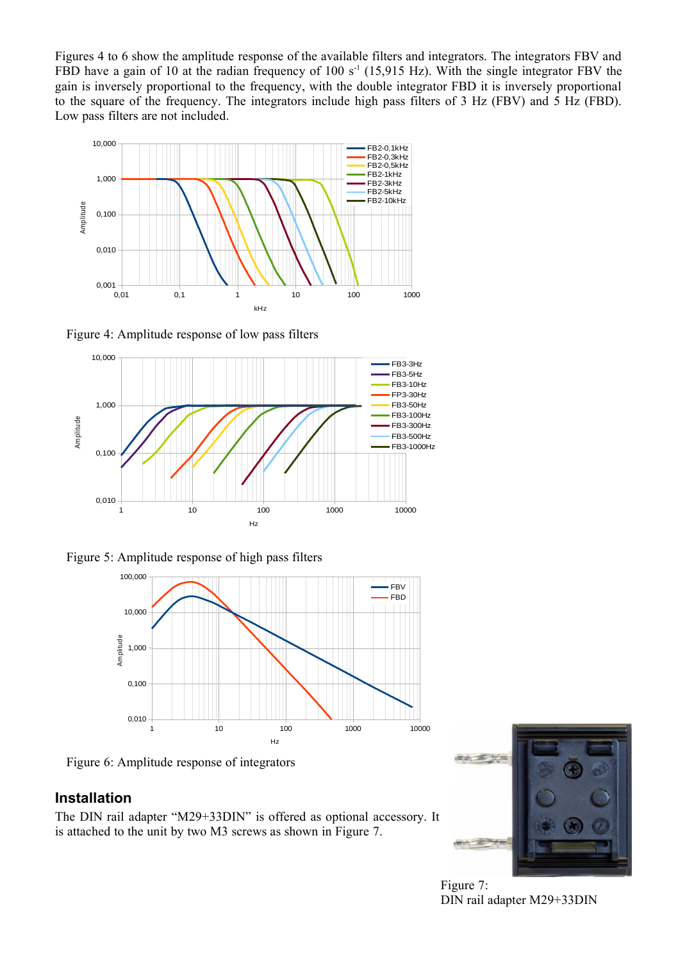Figures [4](#page-2-1) to [6](#page-2-0) show the amplitude response of the available filters and integrators. The integrators FBV and FBD have a gain of 10 at the radian frequency of 100 s<sup>-1</sup> (15,915 Hz). With the single integrator FBV the gain is inversely proportional to the frequency, with the double integrator FBD it is inversely proportional to the square of the frequency. The integrators include high pass filters of 3 Hz (FBV) and 5 Hz (FBD). Low pass filters are not included.



<span id="page-2-1"></span>Figure 4: Amplitude response of low pass filters



Figure 5: Amplitude response of high pass filters



<span id="page-2-0"></span>Figure 6: Amplitude response of integrators

#### **Installation**

The DIN rail adapter "M29+33DIN" is offered as optional accessory. It is attached to the unit by two M3 screws as shown in Figure [7.](#page-2-2)

<span id="page-2-2"></span>

Figure 7: DIN rail adapter M29+33DIN